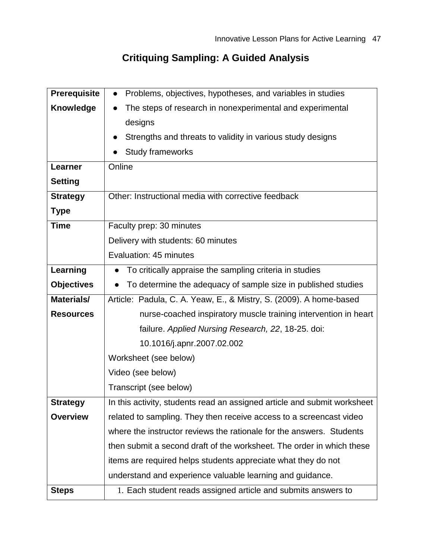## **Critiquing Sampling: A Guided Analysis**

| <b>Prerequisite</b> | Problems, objectives, hypotheses, and variables in studies<br>$\bullet$  |
|---------------------|--------------------------------------------------------------------------|
| <b>Knowledge</b>    | The steps of research in nonexperimental and experimental                |
|                     | designs                                                                  |
|                     | Strengths and threats to validity in various study designs               |
|                     | <b>Study frameworks</b>                                                  |
| Learner             | Online                                                                   |
| <b>Setting</b>      |                                                                          |
| <b>Strategy</b>     | Other: Instructional media with corrective feedback                      |
| <b>Type</b>         |                                                                          |
| <b>Time</b>         | Faculty prep: 30 minutes                                                 |
|                     | Delivery with students: 60 minutes                                       |
|                     | Evaluation: 45 minutes                                                   |
| Learning            | To critically appraise the sampling criteria in studies                  |
| <b>Objectives</b>   | To determine the adequacy of sample size in published studies            |
| Materials/          | Article: Padula, C. A. Yeaw, E., & Mistry, S. (2009). A home-based       |
| <b>Resources</b>    | nurse-coached inspiratory muscle training intervention in heart          |
|                     | failure. Applied Nursing Research, 22, 18-25. doi:                       |
|                     | 10.1016/j.apnr.2007.02.002                                               |
|                     | Worksheet (see below)                                                    |
|                     | Video (see below)                                                        |
|                     | Transcript (see below)                                                   |
| <b>Strategy</b>     | In this activity, students read an assigned article and submit worksheet |
| <b>Overview</b>     | related to sampling. They then receive access to a screencast video      |
|                     | where the instructor reviews the rationale for the answers. Students     |
|                     | then submit a second draft of the worksheet. The order in which these    |
|                     | items are required helps students appreciate what they do not            |
|                     | understand and experience valuable learning and guidance.                |
| <b>Steps</b>        | 1. Each student reads assigned article and submits answers to            |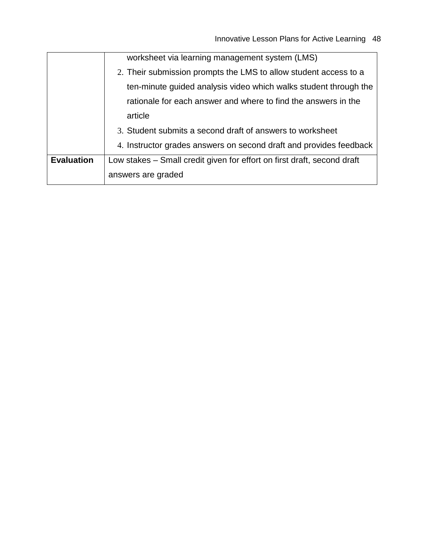|                   | worksheet via learning management system (LMS)                          |
|-------------------|-------------------------------------------------------------------------|
|                   | 2. Their submission prompts the LMS to allow student access to a        |
|                   | ten-minute guided analysis video which walks student through the        |
|                   | rationale for each answer and where to find the answers in the          |
|                   | article                                                                 |
|                   | 3. Student submits a second draft of answers to worksheet               |
|                   | 4. Instructor grades answers on second draft and provides feedback      |
| <b>Evaluation</b> | Low stakes – Small credit given for effort on first draft, second draft |
|                   | answers are graded                                                      |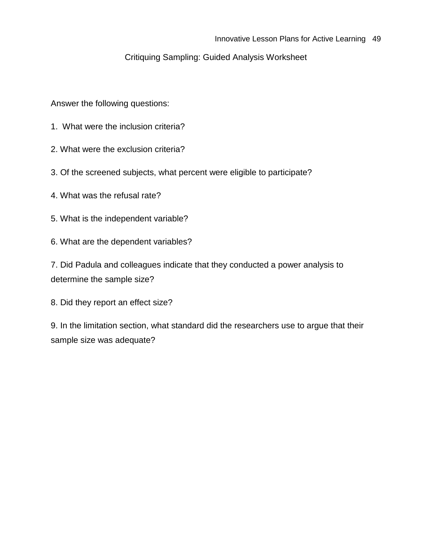## Critiquing Sampling: Guided Analysis Worksheet

Answer the following questions:

- 1. What were the inclusion criteria?
- 2. What were the exclusion criteria?
- 3. Of the screened subjects, what percent were eligible to participate?
- 4. What was the refusal rate?
- 5. What is the independent variable?
- 6. What are the dependent variables?

7. Did Padula and colleagues indicate that they conducted a power analysis to determine the sample size?

8. Did they report an effect size?

9. In the limitation section, what standard did the researchers use to argue that their sample size was adequate?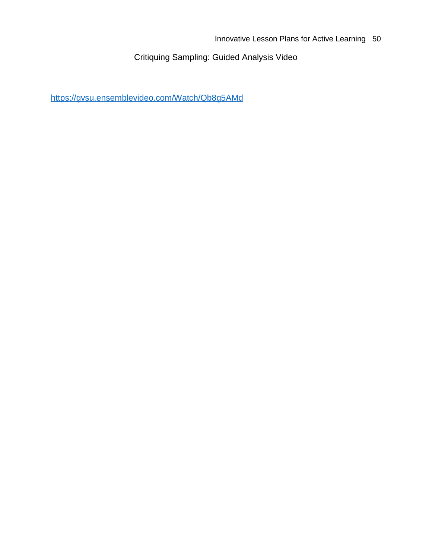Critiquing Sampling: Guided Analysis Video

<https://gvsu.ensemblevideo.com/Watch/Qb8g5AMd>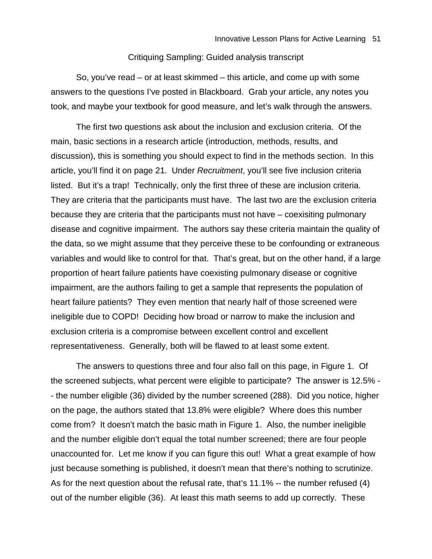## Critiquing Sampling: Guided analysis transcript

So, you've read – or at least skimmed – this article, and come up with some answers to the questions I've posted in Blackboard. Grab your article, any notes you took, and maybe your textbook for good measure, and let's walk through the answers.

The first two questions ask about the inclusion and exclusion criteria. Of the main, basic sections in a research article (introduction, methods, results, and discussion), this is something you should expect to find in the methods section. In this article, you'll find it on page 21. Under *Recruitment*, you'll see five inclusion criteria listed. But it's a trap! Technically, only the first three of these are inclusion criteria. They are criteria that the participants must have. The last two are the exclusion criteria because they are criteria that the participants must not have – coexisiting pulmonary disease and cognitive impairment. The authors say these criteria maintain the quality of the data, so we might assume that they perceive these to be confounding or extraneous variables and would like to control for that. That's great, but on the other hand, if a large proportion of heart failure patients have coexisting pulmonary disease or cognitive impairment, are the authors failing to get a sample that represents the population of heart failure patients? They even mention that nearly half of those screened were ineligible due to COPD! Deciding how broad or narrow to make the inclusion and exclusion criteria is a compromise between excellent control and excellent representativeness. Generally, both will be flawed to at least some extent.

The answers to questions three and four also fall on this page, in Figure 1. Of the screened subjects, what percent were eligible to participate? The answer is 12.5% - - the number eligible (36) divided by the number screened (288). Did you notice, higher on the page, the authors stated that 13.8% were eligible? Where does this number come from? It doesn't match the basic math in Figure 1. Also, the number ineligible and the number eligible don't equal the total number screened; there are four people unaccounted for. Let me know if you can figure this out! What a great example of how just because something is published, it doesn't mean that there's nothing to scrutinize. As for the next question about the refusal rate, that's 11.1% -- the number refused (4) out of the number eligible (36). At least this math seems to add up correctly. These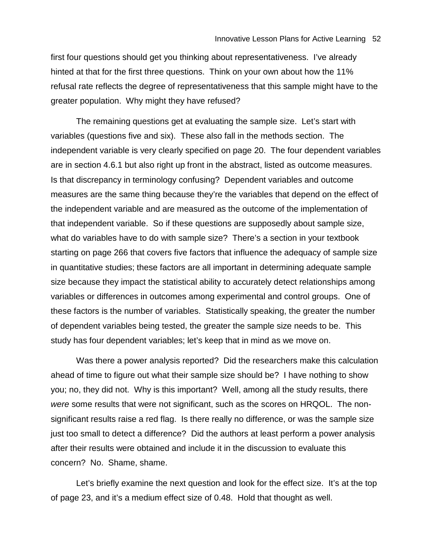first four questions should get you thinking about representativeness. I've already hinted at that for the first three questions. Think on your own about how the 11% refusal rate reflects the degree of representativeness that this sample might have to the greater population. Why might they have refused?

The remaining questions get at evaluating the sample size. Let's start with variables (questions five and six). These also fall in the methods section. The independent variable is very clearly specified on page 20. The four dependent variables are in section 4.6.1 but also right up front in the abstract, listed as outcome measures. Is that discrepancy in terminology confusing? Dependent variables and outcome measures are the same thing because they're the variables that depend on the effect of the independent variable and are measured as the outcome of the implementation of that independent variable. So if these questions are supposedly about sample size, what do variables have to do with sample size? There's a section in your textbook starting on page 266 that covers five factors that influence the adequacy of sample size in quantitative studies; these factors are all important in determining adequate sample size because they impact the statistical ability to accurately detect relationships among variables or differences in outcomes among experimental and control groups. One of these factors is the number of variables. Statistically speaking, the greater the number of dependent variables being tested, the greater the sample size needs to be. This study has four dependent variables; let's keep that in mind as we move on.

Was there a power analysis reported? Did the researchers make this calculation ahead of time to figure out what their sample size should be? I have nothing to show you; no, they did not. Why is this important? Well, among all the study results, there *were* some results that were not significant, such as the scores on HRQOL. The nonsignificant results raise a red flag. Is there really no difference, or was the sample size just too small to detect a difference? Did the authors at least perform a power analysis after their results were obtained and include it in the discussion to evaluate this concern? No. Shame, shame.

Let's briefly examine the next question and look for the effect size. It's at the top of page 23, and it's a medium effect size of 0.48. Hold that thought as well.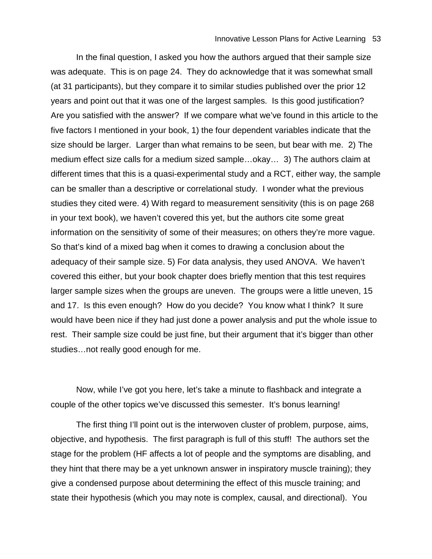In the final question, I asked you how the authors argued that their sample size was adequate. This is on page 24. They do acknowledge that it was somewhat small (at 31 participants), but they compare it to similar studies published over the prior 12 years and point out that it was one of the largest samples. Is this good justification? Are you satisfied with the answer? If we compare what we've found in this article to the five factors I mentioned in your book, 1) the four dependent variables indicate that the size should be larger. Larger than what remains to be seen, but bear with me. 2) The medium effect size calls for a medium sized sample…okay… 3) The authors claim at different times that this is a quasi-experimental study and a RCT, either way, the sample can be smaller than a descriptive or correlational study. I wonder what the previous studies they cited were. 4) With regard to measurement sensitivity (this is on page 268 in your text book), we haven't covered this yet, but the authors cite some great information on the sensitivity of some of their measures; on others they're more vague. So that's kind of a mixed bag when it comes to drawing a conclusion about the adequacy of their sample size. 5) For data analysis, they used ANOVA. We haven't covered this either, but your book chapter does briefly mention that this test requires larger sample sizes when the groups are uneven. The groups were a little uneven, 15 and 17. Is this even enough? How do you decide? You know what I think? It sure would have been nice if they had just done a power analysis and put the whole issue to rest. Their sample size could be just fine, but their argument that it's bigger than other studies…not really good enough for me.

Now, while I've got you here, let's take a minute to flashback and integrate a couple of the other topics we've discussed this semester. It's bonus learning!

The first thing I'll point out is the interwoven cluster of problem, purpose, aims, objective, and hypothesis. The first paragraph is full of this stuff! The authors set the stage for the problem (HF affects a lot of people and the symptoms are disabling, and they hint that there may be a yet unknown answer in inspiratory muscle training); they give a condensed purpose about determining the effect of this muscle training; and state their hypothesis (which you may note is complex, causal, and directional). You